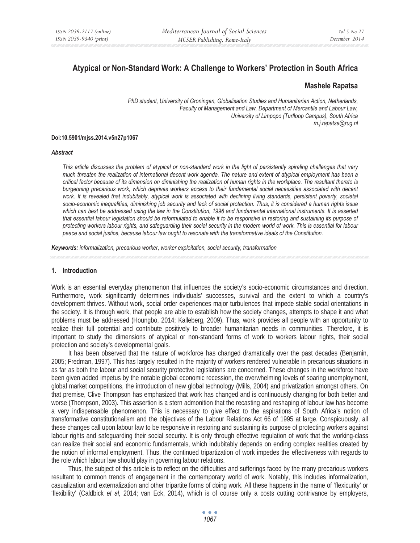# **Atypical or Non-Standard Work: A Challenge to Workers' Protection in South Africa**

## **Mashele Rapatsa**

*PhD student, University of Groningen, Globalisation Studies and Humanitarian Action, Netherlands, Faculty of Management and Law, Department of Mercantile and Labour Law, University of Limpopo (Turfloop Campus), South Africa m.j.rapatsa@rug.nl* 

#### **Doi:10.5901/mjss.2014.v5n27p1067**

#### *Abstract*

*This article discusses the problem of atypical or non-standard work in the light of persistently spiraling challenges that very much threaten the realization of international decent work agenda. The nature and extent of atypical employment has been a critical factor because of its dimension on diminishing the realization of human rights in the workplace. The resultant thereto is burgeoning precarious work, which deprives workers access to their fundamental social necessities associated with decent*  work. It is revealed that indubitably, atypical work is associated with declining living standards, persistent poverty, societal *socio-economic inequalities, diminishing job security and lack of social protection. Thus, it is considered a human rights issue which can best be addressed using the law in the Constitution, 1996 and fundamental international instruments. It is asserted that essential labour legislation should be reformulated to enable it to be responsive in restoring and sustaining its purpose of protecting workers labour rights, and safeguarding their social security in the modern world of work. This is essential for labour peace and social justice, because labour law ought to resonate with the transformative ideals of the Constitution.* 

*Keywords: informalization, precarious worker, worker exploitation, social security, transformation* 

#### **1. Introduction**

Work is an essential everyday phenomenon that influences the society's socio-economic circumstances and direction. Furthermore, work significantly determines individuals' successes, survival and the extent to which a country's development thrives. Without work, social order experiences major turbulences that impede stable social orientations in the society. It is through work, that people are able to establish how the society changes, attempts to shape it and what problems must be addressed (Houngbo, 2014; Kalleberg, 2009). Thus, work provides all people with an opportunity to realize their full potential and contribute positively to broader humanitarian needs in communities. Therefore, it is important to study the dimensions of atypical or non-standard forms of work to workers labour rights, their social protection and society's developmental goals.

It has been observed that the nature of workforce has changed dramatically over the past decades (Benjamin, 2005; Fredman, 1997). This has largely resulted in the majority of workers rendered vulnerable in precarious situations in as far as both the labour and social security protective legislations are concerned. These changes in the workforce have been given added impetus by the notable global economic recession, the overwhelming levels of soaring unemployment, global market competitions, the introduction of new global technology (Mills, 2004) and privatization amongst others. On that premise, Clive Thompson has emphasized that work has changed and is continuously changing for both better and worse (Thompson, 2003). This assertion is a stern admonition that the recasting and reshaping of labour law has become a very indispensable phenomenon. This is necessary to give effect to the aspirations of South Africa's notion of transformative constitutionalism and the objectives of the Labour Relations Act 66 of 1995 at large. Conspicuously, all these changes call upon labour law to be responsive in restoring and sustaining its purpose of protecting workers against labour rights and safeguarding their social security. It is only through effective regulation of work that the working-class can realize their social and economic fundamentals, which indubitably depends on ending complex realities created by the notion of informal employment. Thus, the continued tripartization of work impedes the effectiveness with regards to the role which labour law should play in governing labour relations.

Thus, the subject of this article is to reflect on the difficulties and sufferings faced by the many precarious workers resultant to common trends of engagement in the contemporary world of work. Notably, this includes informalization, casualization and externalization and other tripartite forms of doing work. All these happens in the name of 'flexicurity' or 'flexibility' (Caldbick *et al,* 2014; van Eck, 2014), which is of course only a costs cutting contrivance by employers,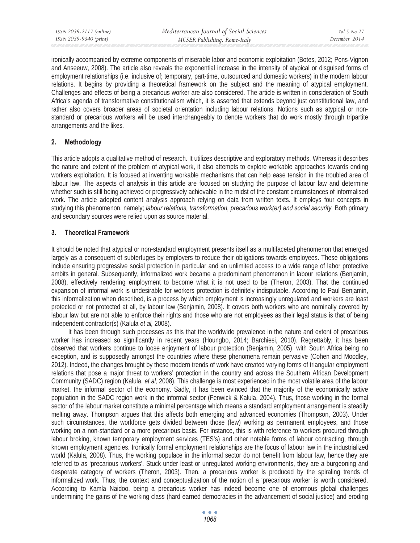ironically accompanied by extreme components of miserable labor and economic exploitation (Botes, 2012; Pons-Vignon and Anseeuw, 2008). The article also reveals the exponential increase in the intensity of atypical or disguised forms of employment relationships (i.e. inclusive of; temporary, part-time, outsourced and domestic workers) in the modern labour relations. It begins by providing a theoretical framework on the subject and the meaning of atypical employment. Challenges and effects of being a precarious worker are also considered. The article is written in consideration of South Africa's agenda of transformative constitutionalism which, it is asserted that extends beyond just constitutional law, and rather also covers broader areas of societal orientation including labour relations. Notions such as atypical or nonstandard or precarious workers will be used interchangeably to denote workers that do work mostly through tripartite arrangements and the likes.

# **2. Methodology**

This article adopts a qualitative method of research. It utilizes descriptive and exploratory methods. Whereas it describes the nature and extent of the problem of atypical work, it also attempts to explore workable approaches towards ending workers exploitation. It is focused at inventing workable mechanisms that can help ease tension in the troubled area of labour law. The aspects of analysis in this article are focused on studying the purpose of labour law and determine whether such is still being achieved or progressively achievable in the midst of the constant circumstances of informalised work. The article adopted content analysis approach relying on data from written texts. It employs four concepts in studying this phenomenon, namely; *labour relations, transformation, precarious work(er) and social security.* Both primary and secondary sources were relied upon as source material.

# **3. Theoretical Framework**

It should be noted that atypical or non-standard employment presents itself as a multifaceted phenomenon that emerged largely as a consequent of subterfuges by employers to reduce their obligations towards employees. These obligations include ensuring progressive social protection in particular and an unlimited access to a wide range of labor protective ambits in general. Subsequently, informalized work became a predominant phenomenon in labour relations (Benjamin, 2008), effectively rendering employment to become what it is not used to be (Theron, 2003). That the continued expansion of informal work is undesirable for workers protection is definitely indisputable. According to Paul Benjamin, this informalization when described, is a process by which employment is increasingly unregulated and workers are least protected or not protected at all, by labour law (Benjamin, 2008). It covers both workers who are nominally covered by labour law but are not able to enforce their rights and those who are not employees as their legal status is that of being independent contractor(s) (Kalula *et al,* 2008).

It has been through such processes as this that the worldwide prevalence in the nature and extent of precarious worker has increased so significantly in recent years (Houngbo, 2014; Barchiesi, 2010). Regrettably, it has been observed that workers continue to loose enjoyment of labour protection (Benjamin, 2005), with South Africa being no exception, and is supposedly amongst the countries where these phenomena remain pervasive (Cohen and Moodley, 2012). Indeed, the changes brought by these modern trends of work have created varying forms of triangular employment relations that pose a major threat to workers' protection in the country and across the Southern African Development Community (SADC) region (Kalula, *et al,* 2008). This challenge is most experienced in the most volatile area of the labour market, the informal sector of the economy. Sadly, it has been evinced that the majority of the economically active population in the SADC region work in the informal sector (Fenwick & Kalula, 2004). Thus, those working in the formal sector of the labour market constitute a minimal percentage which means a standard employment arrangement is steadily melting away. Thompson argues that this affects both emerging and advanced economies (Thompson, 2003). Under such circumstances, the workforce gets divided between those (few) working as permanent employees, and those working on a non-standard or a more precarious basis. For instance, this is with reference to workers procured through labour broking, known temporary employment services (TES's) and other notable forms of labour contracting, through known employment agencies. Ironically formal employment relationships are the focus of labour law in the industrialized world (Kalula, 2008). Thus, the working populace in the informal sector do not benefit from labour law, hence they are referred to as 'precarious workers'. Stuck under least or unregulated working environments, they are a burgeoning and desperate category of workers (Theron, 2003). Then, a precarious worker is produced by the spiraling trends of informalized work. Thus, the context and conceptualization of the notion of a 'precarious worker' is worth considered. According to Kamla Naidoo, being a precarious worker has indeed become one of enormous global challenges undermining the gains of the working class (hard earned democracies in the advancement of social justice) and eroding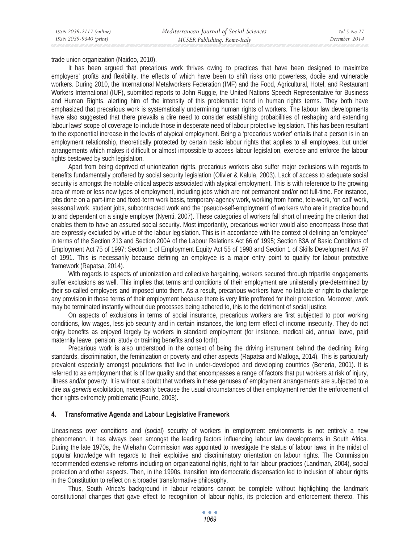trade union organization (Naidoo, 2010).

It has been argued that precarious work thrives owing to practices that have been designed to maximize employers' profits and flexibility, the effects of which have been to shift risks onto powerless, docile and vulnerable workers. During 2010, the International Metalworkers Federation (IMF) and the Food, Agricultural, Hotel, and Restaurant Workers International (IUF), submitted reports to John Ruggie, the United Nations Speech Representative for Business and Human Rights, alerting him of the intensity of this problematic trend in human rights terms. They both have emphasized that precarious work is systematically undermining human rights of workers. The labour law developments have also suggested that there prevails a dire need to consider establishing probabilities of reshaping and extending labour laws' scope of coverage to include those in desperate need of labour protective legislation. This has been resultant to the exponential increase in the levels of atypical employment. Being a 'precarious worker' entails that a person is in an employment relationship, theoretically protected by certain basic labour rights that applies to all employees, but under arrangements which makes it difficult or almost impossible to access labour legislation, exercise and enforce the labour rights bestowed by such legislation.

Apart from being deprived of unionization rights, precarious workers also suffer major exclusions with regards to benefits fundamentally proffered by social security legislation (Olivier & Kalula, 2003). Lack of access to adequate social security is amongst the notable critical aspects associated with atypical employment. This is with reference to the growing area of more or less new types of employment, including jobs which are not permanent and/or not full-time. For instance, jobs done on a part-time and fixed-term work basis, temporary-agency work, working from home, tele-work, 'on call' work, seasonal work, student jobs, subcontracted work and the 'pseudo-self-employment' of workers who are in practice bound to and dependent on a single employer (Nyenti, 2007). These categories of workers fall short of meeting the criterion that enables them to have an assured social security. Most importantly, precarious worker would also encompass those that are expressly excluded by virtue of the labour legislation. This is in accordance with the context of defining an 'employee' in terms of the Section 213 and Section 200A of the Labour Relations Act 66 of 1995; Section 83A of Basic Conditions of Employment Act 75 of 1997; Section 1 of Employment Equity Act 55 of 1998 and Section 1 of Skills Development Act 97 of 1991. This is necessarily because defining an employee is a major entry point to qualify for labour protective framework (Rapatsa, 2014).

With regards to aspects of unionization and collective bargaining, workers secured through tripartite engagements suffer exclusions as well. This implies that terms and conditions of their employment are unilaterally pre-determined by their so-called employers and imposed unto them. As a result, precarious workers have no latitude or right to challenge any provision in those terms of their employment because there is very little proffered for their protection. Moreover, work may be terminated instantly without due processes being adhered to, this to the detriment of social justice.

On aspects of exclusions in terms of social insurance, precarious workers are first subjected to poor working conditions, low wages, less job security and in certain instances, the long term effect of income insecurity. They do not enjoy benefits as enjoyed largely by workers in standard employment (for instance, medical aid, annual leave, paid maternity leave, pension, study or training benefits and so forth).

Precarious work is also understood in the context of being the driving instrument behind the declining living standards, discrimination, the feminization or poverty and other aspects (Rapatsa and Matloga, 2014). This is particularly prevalent especially amongst populations that live in under-developed and developing countries (Beneria, 2001). It is referred to as employment that is of low quality and that encompasses a range of factors that put workers at risk of injury, illness and/or poverty. It is without a doubt that workers in these genuses of employment arrangements are subjected to a dire *sui generis* exploitation, necessarily because the usual circumstances of their employment render the enforcement of their rights extremely problematic (Fourie, 2008).

## **4. Transformative Agenda and Labour Legislative Framework**

Uneasiness over conditions and (social) security of workers in employment environments is not entirely a new phenomenon. It has always been amongst the leading factors influencing labour law developments in South Africa. During the late 1970s, the Wiehahn Commission was appointed to investigate the status of labour laws, in the midst of popular knowledge with regards to their exploitive and discriminatory orientation on labour rights. The Commission recommended extensive reforms including on organizational rights, right to fair labour practices (Landman, 2004), social protection and other aspects. Then, in the 1990s, transition into democratic dispensation led to inclusion of labour rights in the Constitution to reflect on a broader transformative philosophy.

Thus, South Africa's background in labour relations cannot be complete without highlighting the landmark constitutional changes that gave effect to recognition of labour rights, its protection and enforcement thereto. This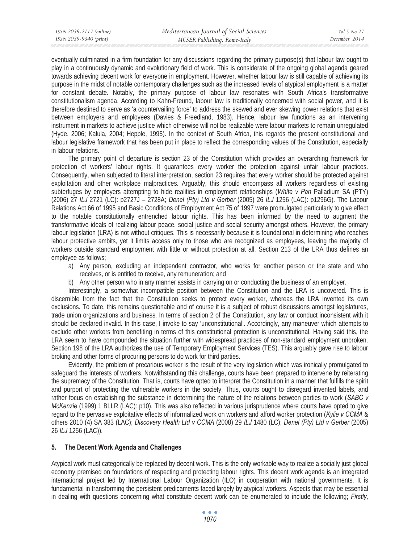eventually culminated in a firm foundation for any discussions regarding the primary purpose(s) that labour law ought to play in a continuously dynamic and evolutionary field of work. This is considerate of the ongoing global agenda geared towards achieving decent work for everyone in employment. However, whether labour law is still capable of achieving its purpose in the midst of notable contemporary challenges such as the increased levels of atypical employment is a matter for constant debate. Notably, the primary purpose of labour law resonates with South Africa's transformative constitutionalism agenda. According to Kahn-Freund, labour law is traditionally concerned with social power, and it is therefore destined to serve as 'a countervailing force' to address the skewed and ever skewing power relations that exist between employers and employees (Davies & Freedland, 1983). Hence, labour law functions as an intervening instrument in markets to achieve justice which otherwise will not be realizable were labour markets to remain unregulated (Hyde, 2006; Kalula, 2004; Hepple, 1995). In the context of South Africa, this regards the present constitutional and labour legislative framework that has been put in place to reflect the corresponding values of the Constitution, especially in labour relations.

The primary point of departure is section 23 of the Constitution which provides an overarching framework for protection of workers' labour rights. It guarantees every worker the protection against unfair labour practices. Consequently, when subjected to literal interpretation, section 23 requires that every worker should be protected against exploitation and other workplace malpractices. Arguably, this should encompass all workers regardless of existing subterfuges by employers attempting to hide realities in employment relationships (*White v Pan* Palladium SA (PTY) (2006) 27 *ILJ* 2721 (LC): p2727J – 2728A; *Denel (Pty) Ltd v Gerber* (2005) 26 *ILJ* 1256 (LAC): p1296G). The Labour Relations Act 66 of 1995 and Basic Conditions of Employment Act 75 of 1997 were promulgated particularly to give effect to the notable constitutionally entrenched labour rights. This has been informed by the need to augment the transformative ideals of realizing labour peace, social justice and social security amongst others. However, the primary labour legislation (LRA) is not without critiques. This is necessarily because it is foundational in determining who reaches labour protective ambits, yet it limits access only to those who are recognized as employees, leaving the majority of workers outside standard employment with little or without protection at all. Section 213 of the LRA thus defines an employee as follows;

- a) Any person, excluding an independent contractor, who works for another person or the state and who receives, or is entitled to receive, any remuneration; and
- b) Any other person who in any manner assists in carrying on or conducting the business of an employer.

Interestingly, a somewhat incompatible position between the Constitution and the LRA is uncovered. This is discernible from the fact that the Constitution seeks to protect every worker, whereas the LRA invented its own exclusions. To date, this remains questionable and of course it is a subject of robust discussions amongst legislatures, trade union organizations and business. In terms of section 2 of the Constitution, any law or conduct inconsistent with it should be declared invalid. In this case, I invoke to say 'unconstitutional'. Accordingly, any maneuver which attempts to exclude other workers from benefiting in terms of this constitutional protection is unconstitutional. Having said this, the LRA seem to have compounded the situation further with widespread practices of non-standard employment unbroken. Section 198 of the LRA authorizes the use of Temporary Employment Services (TES). This arguably gave rise to labour broking and other forms of procuring persons to do work for third parties.

Evidently, the problem of precarious worker is the result of the very legislation which was ironically promulgated to safeguard the interests of workers. Notwithstanding this challenge, courts have been prepared to intervene by reiterating the supremacy of the Constitution. That is, courts have opted to interpret the Constitution in a manner that fulfills the spirit and purport of protecting the vulnerable workers in the society. Thus, courts ought to disregard invented labels, and rather focus on establishing the substance in determining the nature of the relations between parties to work (*SABC v McKenzie* (1999) 1 BLLR (LAC): p10). This was also reflected in various jurisprudence where courts have opted to give regard to the pervasive exploitative effects of informalized work on workers and afford worker protection (*Kylie v CCMA* & others 2010 (4) SA 383 (LAC); *Discovery Health Ltd v CCMA* (2008) 29 *ILJ* 1480 (LC); *Denel (Pty) Ltd v Gerber* (2005) 26 *ILJ* 1256 (LAC)).

## **5. The Decent Work Agenda and Challenges**

Atypical work must categorically be replaced by decent work. This is the only workable way to realize a socially just global economy premised on foundations of respecting and protecting labour rights. This decent work agenda is an integrated international project led by International Labour Organization (ILO) in cooperation with national governments. It is fundamental in transforming the persistent predicaments faced largely by atypical workers. Aspects that may be essential in dealing with questions concerning what constitute decent work can be enumerated to include the following; *Firstly,*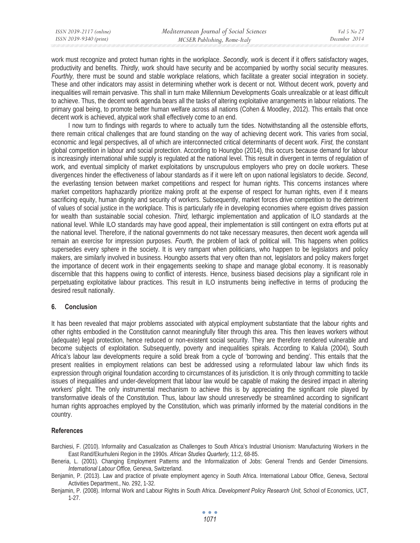| ISSN 2039-2117 (online) | Mediterranean Journal of Social Sciences | Vol 5 No 27   |
|-------------------------|------------------------------------------|---------------|
| ISSN 2039-9340 (print)  | MCSER Publishing, Rome-Italy             | December 2014 |

work must recognize and protect human rights in the workplace. *Secondly,* work is decent if it offers satisfactory wages, productivity and benefits. *Thirdly,* work should have security and be accompanied by worthy social security measures. *Fourthly,* there must be sound and stable workplace relations, which facilitate a greater social integration in society. These and other indicators may assist in determining whether work is decent or not. Without decent work, poverty and inequalities will remain pervasive. This shall in turn make Millennium Developments Goals unrealizable or at least difficult to achieve. Thus, the decent work agenda bears all the tasks of altering exploitative arrangements in labour relations. The primary goal being, to promote better human welfare across all nations (Cohen & Moodley, 2012). This entails that once decent work is achieved, atypical work shall effectively come to an end.

I now turn to findings with regards to where to actually turn the tides. Notwithstanding all the ostensible efforts, there remain critical challenges that are found standing on the way of achieving decent work. This varies from social, economic and legal perspectives, all of which are interconnected critical determinants of decent work. *First,* the constant global competition in labour and social protection. According to Houngbo (2014), this occurs because demand for labour is increasingly international while supply is regulated at the national level. This result in divergent in terms of regulation of work, and eventual simplicity of market exploitations by unscrupulous employers who prey on docile workers. These divergences hinder the effectiveness of labour standards as if it were left on upon national legislators to decide. *Second,*  the everlasting tension between market competitions and respect for human rights. This concerns instances where market competitors haphazardly prioritize making profit at the expense of respect for human rights, even if it means sacrificing equity, human dignity and security of workers. Subsequently, market forces drive competition to the detriment of values of social justice in the workplace. This is particularly rife in developing economies where egoism drives passion for wealth than sustainable social cohesion. *Third,* lethargic implementation and application of ILO standards at the national level. While ILO standards may have good appeal, their implementation is still contingent on extra efforts put at the national level. Therefore, if the national governments do not take necessary measures, then decent work agenda will remain an exercise for impression purposes. *Fourth,* the problem of lack of political will. This happens when politics supersedes every sphere in the society. It is very rampant when politicians, who happen to be legislators and policy makers, are similarly involved in business. Houngbo asserts that very often than not, legislators and policy makers forget the importance of decent work in their engagements seeking to shape and manage global economy. It is reasonably discernible that this happens owing to conflict of interests. Hence, business biased decisions play a significant role in perpetuating exploitative labour practices. This result in ILO instruments being ineffective in terms of producing the desired result nationally.

## **6. Conclusion**

It has been revealed that major problems associated with atypical employment substantiate that the labour rights and other rights embodied in the Constitution cannot meaningfully filter through this area. This then leaves workers without (adequate) legal protection, hence reduced or non-existent social security. They are therefore rendered vulnerable and become subjects of exploitation. Subsequently, poverty and inequalities spirals. According to Kalula (2004), South Africa's labour law developments require a solid break from a cycle of 'borrowing and bending'. This entails that the present realities in employment relations can best be addressed using a reformulated labour law which finds its expression through original foundation according to circumstances of its jurisdiction. It is only through committing to tackle issues of inequalities and under-development that labour law would be capable of making the desired impact in altering workers' plight. The only instrumental mechanism to achieve this is by appreciating the significant role played by transformative ideals of the Constitution. Thus, labour law should unreservedly be streamlined according to significant human rights approaches employed by the Constitution, which was primarily informed by the material conditions in the country.

# **References**

Barchiesi, F. (2010). Informality and Casualization as Challenges to South Africa's Industrial Unionism: Manufacturing Workers in the East Rand/Ekurhuleni Region in the 1990s. *African Studies Quarterly,* 11:2, 68-85.

Beneria, L. (2001). Changing Employment Patterns and the Informalization of Jobs: General Trends and Gender Dimensions. *International Labour Office,* Geneva, Switzerland.

Benjamin, P. (2013). Law and practice of private employment agency in South Africa. International Labour Office, Geneva, Sectoral Activities Department., No. 292, 1-32.

Benjamin, P. (2008). Informal Work and Labour Rights in South Africa. *Development Policy Research Unit,* School of Economics, UCT, 1-27.